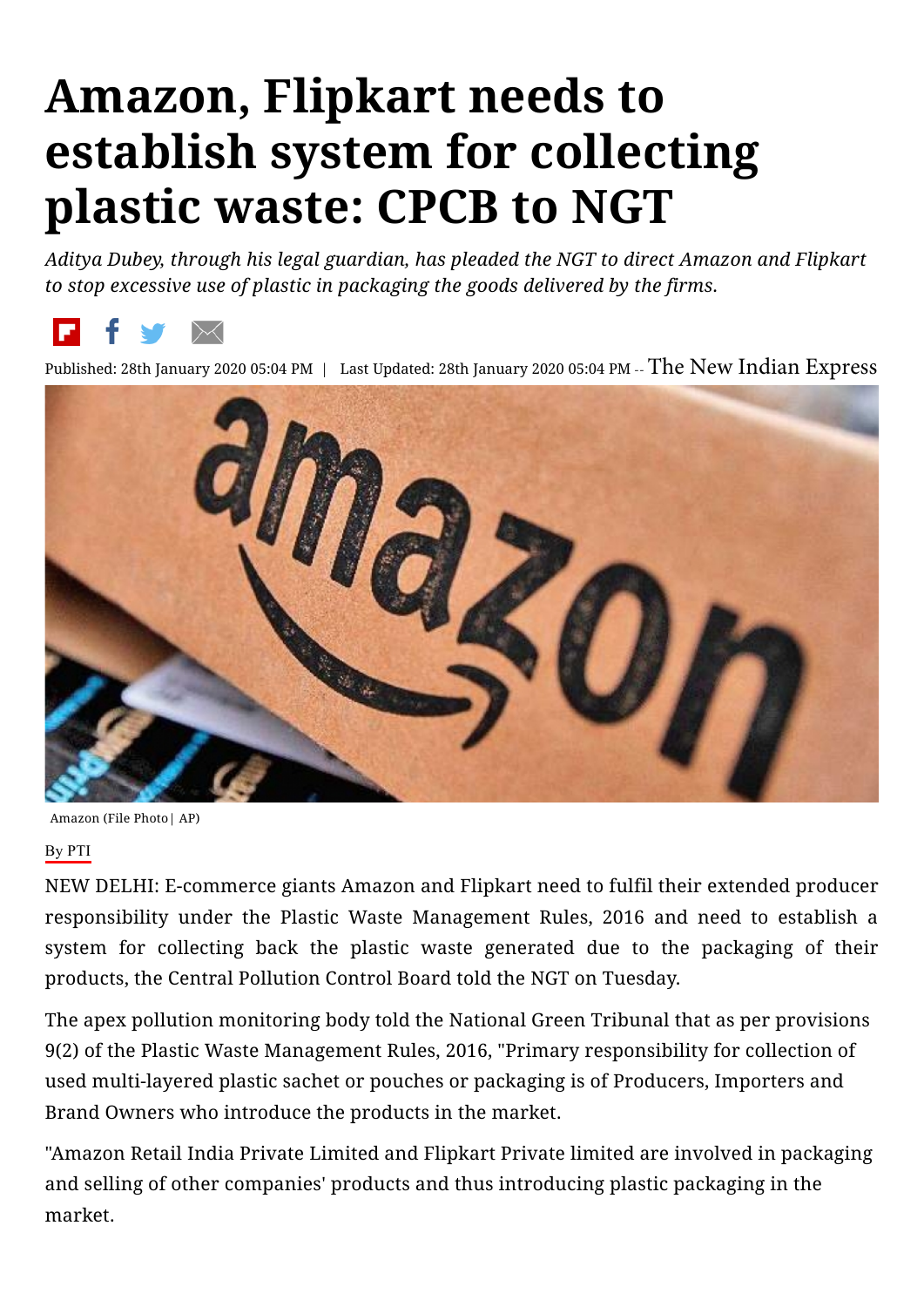## **Amazon, Flipkart needs to establish system for collecting plastic waste: CPCB to NGT**

*Aditya Dubey, through his legal guardian, has pleaded the NGT to direct Amazon and Flipkart to stop excessive use of plastic in packaging the goods delivered by the firms.*



Published: 28th January 2020 05:04 PM | Last Updated: 28th January 2020 05:04 PM -- The New Indian Express



Amazon (File Photo| AP)

## By PTI

NEW DELHI: E-commerce giants Amazon and Flipkart need to fulfil their extended producer responsibility under the Plastic Waste Management Rules, 2016 and need to establish a system for collecting back the plastic waste generated due to the packaging of their products, the Central Pollution Control Board told the NGT on Tuesday.

The apex pollution monitoring body told the National Green Tribunal that as per provisions 9(2) of the Plastic Waste Management Rules, 2016, "Primary responsibility for collection of used multi-layered plastic sachet or pouches or packaging is of Producers, Importers and Brand Owners who introduce the products in the market.

"Amazon Retail India Private Limited and Flipkart Private limited are involved in packaging and selling of other companies' products and thus introducing plastic packaging in the market.